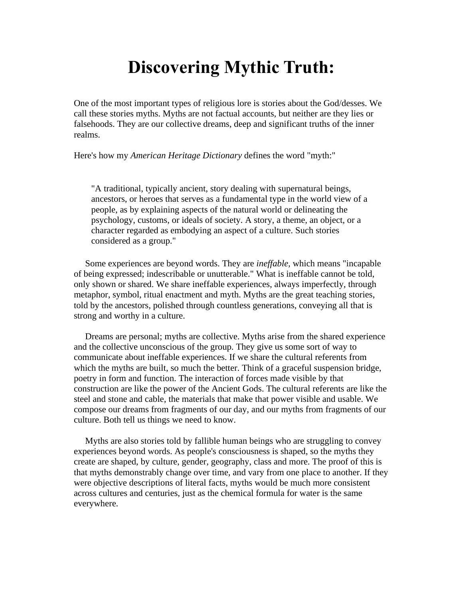## **Discovering Mythic Truth:**

One of the most important types of religious lore is stories about the God/desses. We call these stories myths. Myths are not factual accounts, but neither are they lies or falsehoods. They are our collective dreams, deep and significant truths of the inner realms.

Here's how my *American Heritage Dictionary* defines the word "myth:"

"A traditional, typically ancient, story dealing with supernatural beings, ancestors, or heroes that serves as a fundamental type in the world view of a people, as by explaining aspects of the natural world or delineating the psychology, customs, or ideals of society. A story, a theme, an object, or a character regarded as embodying an aspect of a culture. Such stories considered as a group."

 Some experiences are beyond words. They are *ineffable,* which means "incapable of being expressed; indescribable or unutterable." What is ineffable cannot be told, only shown or shared. We share ineffable experiences, always imperfectly, through metaphor, symbol, ritual enactment and myth. Myths are the great teaching stories, told by the ancestors, polished through countless generations, conveying all that is strong and worthy in a culture.

 Dreams are personal; myths are collective. Myths arise from the shared experience and the collective unconscious of the group. They give us some sort of way to communicate about ineffable experiences. If we share the cultural referents from which the myths are built, so much the better. Think of a graceful suspension bridge, poetry in form and function. The interaction of forces made visible by that construction are like the power of the Ancient Gods. The cultural referents are like the steel and stone and cable, the materials that make that power visible and usable. We compose our dreams from fragments of our day, and our myths from fragments of our culture. Both tell us things we need to know.

 Myths are also stories told by fallible human beings who are struggling to convey experiences beyond words. As people's consciousness is shaped, so the myths they create are shaped, by culture, gender, geography, class and more. The proof of this is that myths demonstrably change over time, and vary from one place to another. If they were objective descriptions of literal facts, myths would be much more consistent across cultures and centuries, just as the chemical formula for water is the same everywhere.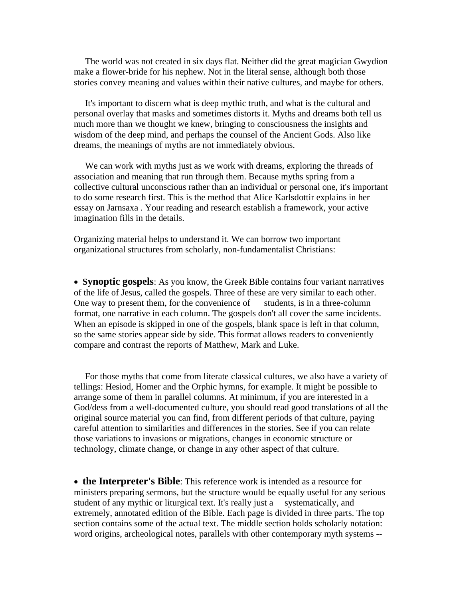The world was not created in six days flat. Neither did the great magician Gwydion make a flower-bride for his nephew. Not in the literal sense, although both those stories convey meaning and values within their native cultures, and maybe for others.

 It's important to discern what is deep mythic truth, and what is the cultural and personal overlay that masks and sometimes distorts it. Myths and dreams both tell us much more than we thought we knew, bringing to consciousness the insights and wisdom of the deep mind, and perhaps the counsel of the Ancient Gods. Also like dreams, the meanings of myths are not immediately obvious.

 We can work with myths just as we work with dreams, exploring the threads of association and meaning that run through them. Because myths spring from a collective cultural unconscious rather than an individual or personal one, it's important to do some research first. This is the method that Alice Karlsdottir explains in her essay on Jarnsaxa . Your reading and research establish a framework, your active imagination fills in the details.

Organizing material helps to understand it. We can borrow two important organizational structures from scholarly, non-fundamentalist Christians:

• **Synoptic gospels**: As you know, the Greek Bible contains four variant narratives of the life of Jesus, called the gospels. Three of these are very similar to each other. One way to present them, for the convenience of students, is in a three-column format, one narrative in each column. The gospels don't all cover the same incidents. When an episode is skipped in one of the gospels, blank space is left in that column, so the same stories appear side by side. This format allows readers to conveniently compare and contrast the reports of Matthew, Mark and Luke.

 For those myths that come from literate classical cultures, we also have a variety of tellings: Hesiod, Homer and the Orphic hymns, for example. It might be possible to arrange some of them in parallel columns. At minimum, if you are interested in a God/dess from a well-documented culture, you should read good translations of all the original source material you can find, from different periods of that culture, paying careful attention to similarities and differences in the stories. See if you can relate those variations to invasions or migrations, changes in economic structure or technology, climate change, or change in any other aspect of that culture.

• **the Interpreter's Bible**: This reference work is intended as a resource for ministers preparing sermons, but the structure would be equally useful for any serious student of any mythic or liturgical text. It's really just a systematically, and extremely, annotated edition of the Bible. Each page is divided in three parts. The top section contains some of the actual text. The middle section holds scholarly notation: word origins, archeological notes, parallels with other contemporary myth systems --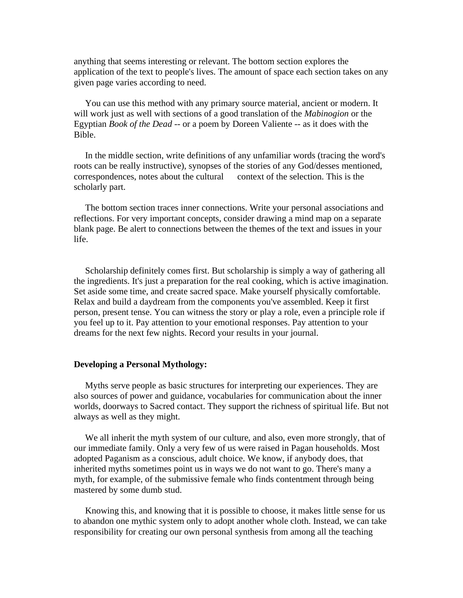anything that seems interesting or relevant. The bottom section explores the application of the text to people's lives. The amount of space each section takes on any given page varies according to need.

 You can use this method with any primary source material, ancient or modern. It will work just as well with sections of a good translation of the *Mabinogion* or the Egyptian *Book of the Dead* -- or a poem by Doreen Valiente -- as it does with the Bible.

 In the middle section, write definitions of any unfamiliar words (tracing the word's roots can be really instructive), synopses of the stories of any God/desses mentioned, correspondences, notes about the cultural context of the selection. This is the scholarly part.

 The bottom section traces inner connections. Write your personal associations and reflections. For very important concepts, consider drawing a mind map on a separate blank page. Be alert to connections between the themes of the text and issues in your life.

 Scholarship definitely comes first. But scholarship is simply a way of gathering all the ingredients. It's just a preparation for the real cooking, which is active imagination. Set aside some time, and create sacred space. Make yourself physically comfortable. Relax and build a daydream from the components you've assembled. Keep it first person, present tense. You can witness the story or play a role, even a principle role if you feel up to it. Pay attention to your emotional responses. Pay attention to your dreams for the next few nights. Record your results in your journal.

## **Developing a Personal Mythology:**

 Myths serve people as basic structures for interpreting our experiences. They are also sources of power and guidance, vocabularies for communication about the inner worlds, doorways to Sacred contact. They support the richness of spiritual life. But not always as well as they might.

 We all inherit the myth system of our culture, and also, even more strongly, that of our immediate family. Only a very few of us were raised in Pagan households. Most adopted Paganism as a conscious, adult choice. We know, if anybody does, that inherited myths sometimes point us in ways we do not want to go. There's many a myth, for example, of the submissive female who finds contentment through being mastered by some dumb stud.

 Knowing this, and knowing that it is possible to choose, it makes little sense for us to abandon one mythic system only to adopt another whole cloth. Instead, we can take responsibility for creating our own personal synthesis from among all the teaching